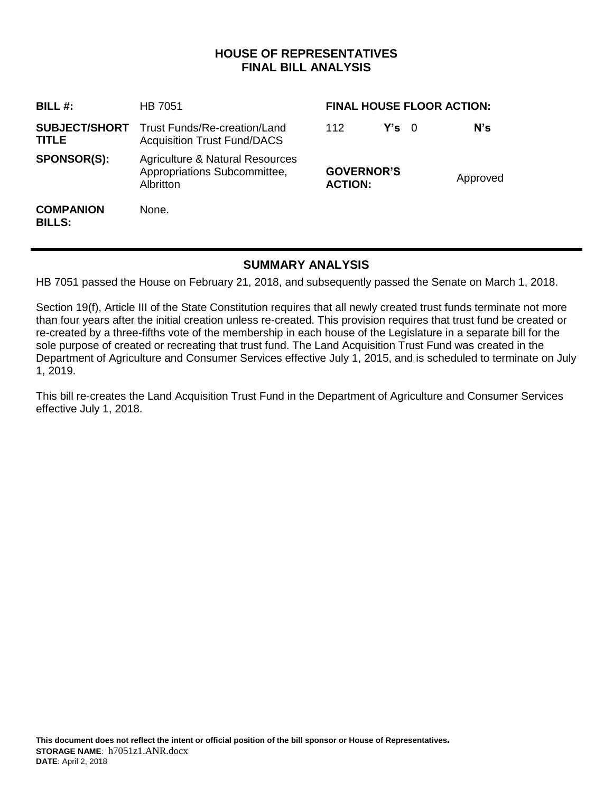## **HOUSE OF REPRESENTATIVES FINAL BILL ANALYSIS**

| BILL $#$ :                        | HB 7051                                                                                        | <b>FINAL HOUSE FLOOR ACTION:</b>    |               |          |     |
|-----------------------------------|------------------------------------------------------------------------------------------------|-------------------------------------|---------------|----------|-----|
| <b>TITLE</b>                      | <b>SUBJECT/SHORT</b> Trust Funds/Re-creation/Land<br><b>Acquisition Trust Fund/DACS</b>        | 112                                 | $Y's \quad 0$ |          | N's |
| <b>SPONSOR(S):</b>                | <b>Agriculture &amp; Natural Resources</b><br>Appropriations Subcommittee,<br><b>Albritton</b> | <b>GOVERNOR'S</b><br><b>ACTION:</b> |               | Approved |     |
| <b>COMPANION</b><br><b>BILLS:</b> | None.                                                                                          |                                     |               |          |     |

## **SUMMARY ANALYSIS**

HB 7051 passed the House on February 21, 2018, and subsequently passed the Senate on March 1, 2018.

Section 19(f), Article III of the State Constitution requires that all newly created trust funds terminate not more than four years after the initial creation unless re-created. This provision requires that trust fund be created or re-created by a three-fifths vote of the membership in each house of the Legislature in a separate bill for the sole purpose of created or recreating that trust fund. The Land Acquisition Trust Fund was created in the Department of Agriculture and Consumer Services effective July 1, 2015, and is scheduled to terminate on July 1, 2019.

This bill re-creates the Land Acquisition Trust Fund in the Department of Agriculture and Consumer Services effective July 1, 2018.